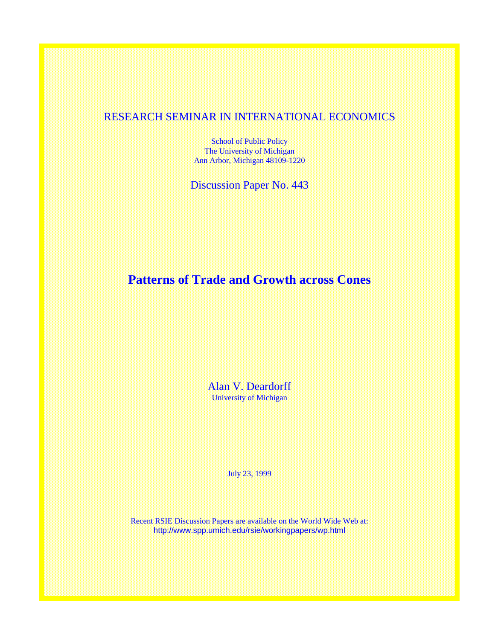## RESEARCH SEMINAR IN INTERNATIONAL ECONOMICS

School of Public Policy The University of Michigan Ann Arbor, Michigan 48109-1220

Discussion Paper No. 443

# **Patterns of Trade and Growth across Cones**

Alan V. Deardorff University of Michigan

July 23, 1999

Recent RSIE Discussion Papers are available on the World Wide Web at: http://www.spp.umich.edu/rsie/workingpapers/wp.html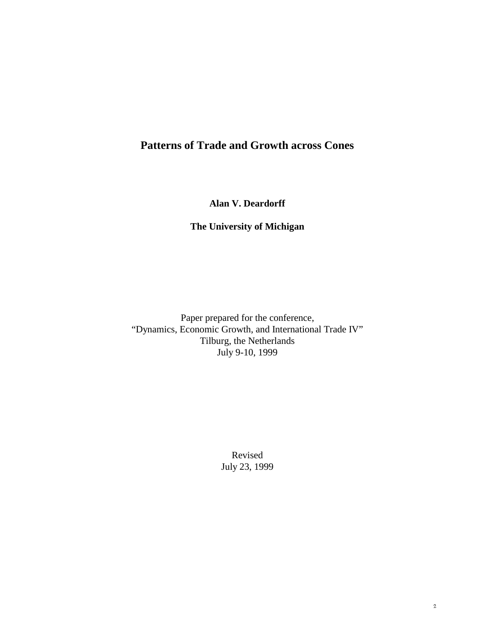# **Patterns of Trade and Growth across Cones**

**Alan V. Deardorff**

**The University of Michigan**

Paper prepared for the conference, "Dynamics, Economic Growth, and International Trade IV" Tilburg, the Netherlands July 9-10, 1999

> Revised July 23, 1999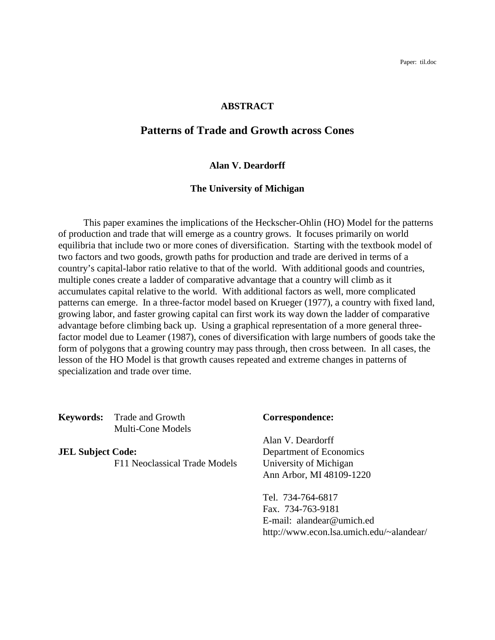Paper: til.doc

#### **ABSTRACT**

## **Patterns of Trade and Growth across Cones**

#### **Alan V. Deardorff**

#### **The University of Michigan**

This paper examines the implications of the Heckscher-Ohlin (HO) Model for the patterns of production and trade that will emerge as a country grows. It focuses primarily on world equilibria that include two or more cones of diversification. Starting with the textbook model of two factors and two goods, growth paths for production and trade are derived in terms of a country's capital-labor ratio relative to that of the world. With additional goods and countries, multiple cones create a ladder of comparative advantage that a country will climb as it accumulates capital relative to the world. With additional factors as well, more complicated patterns can emerge. In a three-factor model based on Krueger (1977), a country with fixed land, growing labor, and faster growing capital can first work its way down the ladder of comparative advantage before climbing back up. Using a graphical representation of a more general threefactor model due to Leamer (1987), cones of diversification with large numbers of goods take the form of polygons that a growing country may pass through, then cross between. In all cases, the lesson of the HO Model is that growth causes repeated and extreme changes in patterns of specialization and trade over time.

**Keywords:** Trade and Growth **Correspondence:** Multi-Cone Models

**JEL Subject Code:** Department of Economics F11 Neoclassical Trade Models University of Michigan

Alan V. Deardorff Ann Arbor, MI 48109-1220

Tel. 734-764-6817 Fax. 734-763-9181 E-mail: alandear@umich.ed http://www.econ.lsa.umich.edu/~alandear/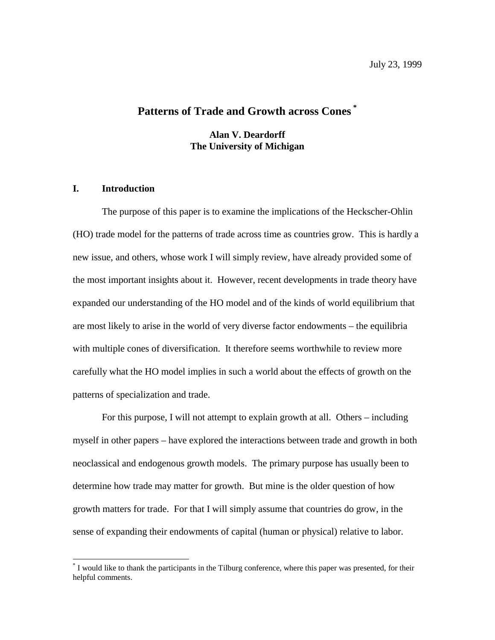## **Patterns of Trade and Growth across Cones \***

**Alan V. Deardorff The University of Michigan**

#### **I. Introduction**

 $\overline{a}$ 

The purpose of this paper is to examine the implications of the Heckscher-Ohlin (HO) trade model for the patterns of trade across time as countries grow. This is hardly a new issue, and others, whose work I will simply review, have already provided some of the most important insights about it. However, recent developments in trade theory have expanded our understanding of the HO model and of the kinds of world equilibrium that are most likely to arise in the world of very diverse factor endowments – the equilibria with multiple cones of diversification. It therefore seems worthwhile to review more carefully what the HO model implies in such a world about the effects of growth on the patterns of specialization and trade.

For this purpose, I will not attempt to explain growth at all. Others – including myself in other papers – have explored the interactions between trade and growth in both neoclassical and endogenous growth models. The primary purpose has usually been to determine how trade may matter for growth. But mine is the older question of how growth matters for trade. For that I will simply assume that countries do grow, in the sense of expanding their endowments of capital (human or physical) relative to labor.

<sup>\*</sup> I would like to thank the participants in the Tilburg conference, where this paper was presented, for their helpful comments.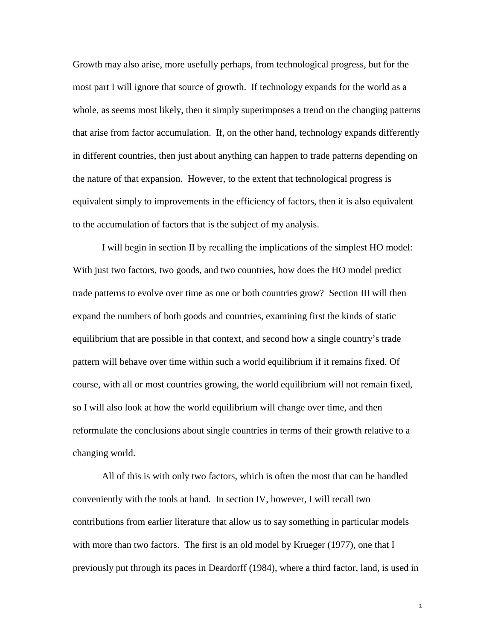Growth may also arise, more usefully perhaps, from technological progress, but for the most part I will ignore that source of growth. If technology expands for the world as a whole, as seems most likely, then it simply superimposes a trend on the changing patterns that arise from factor accumulation. If, on the other hand, technology expands differently in different countries, then just about anything can happen to trade patterns depending on the nature of that expansion. However, to the extent that technological progress is equivalent simply to improvements in the efficiency of factors, then it is also equivalent to the accumulation of factors that is the subject of my analysis.

I will begin in section II by recalling the implications of the simplest HO model: With just two factors, two goods, and two countries, how does the HO model predict trade patterns to evolve over time as one or both countries grow? Section III will then expand the numbers of both goods and countries, examining first the kinds of static equilibrium that are possible in that context, and second how a single country's trade pattern will behave over time within such a world equilibrium if it remains fixed. Of course, with all or most countries growing, the world equilibrium will not remain fixed, so I will also look at how the world equilibrium will change over time, and then reformulate the conclusions about single countries in terms of their growth relative to a changing world.

All of this is with only two factors, which is often the most that can be handled conveniently with the tools at hand. In section IV, however, I will recall two contributions from earlier literature that allow us to say something in particular models with more than two factors. The first is an old model by Krueger (1977), one that I previously put through its paces in Deardorff (1984), where a third factor, land, is used in

 $\hat{2}$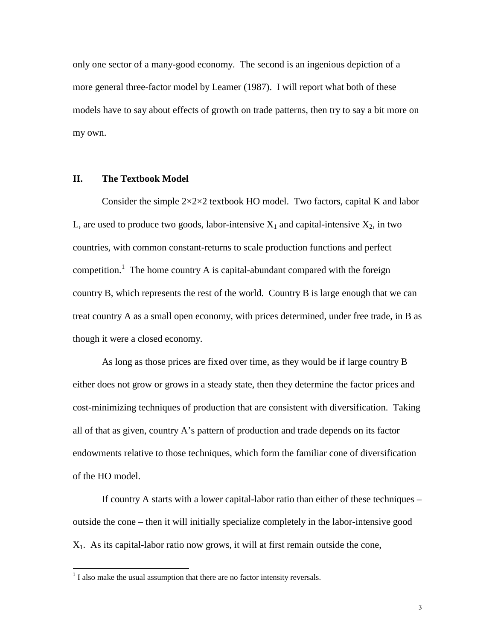only one sector of a many-good economy. The second is an ingenious depiction of a more general three-factor model by Leamer (1987). I will report what both of these models have to say about effects of growth on trade patterns, then try to say a bit more on my own.

#### **II. The Textbook Model**

Consider the simple  $2 \times 2 \times 2$  textbook HO model. Two factors, capital K and labor L, are used to produce two goods, labor-intensive  $X_1$  and capital-intensive  $X_2$ , in two countries, with common constant-returns to scale production functions and perfect competition.<sup>1</sup> The home country A is capital-abundant compared with the foreign country B, which represents the rest of the world. Country B is large enough that we can treat country A as a small open economy, with prices determined, under free trade, in B as though it were a closed economy.

As long as those prices are fixed over time, as they would be if large country B either does not grow or grows in a steady state, then they determine the factor prices and cost-minimizing techniques of production that are consistent with diversification. Taking all of that as given, country A's pattern of production and trade depends on its factor endowments relative to those techniques, which form the familiar cone of diversification of the HO model.

If country A starts with a lower capital-labor ratio than either of these techniques – outside the cone – then it will initially specialize completely in the labor-intensive good  $X_1$ . As its capital-labor ratio now grows, it will at first remain outside the cone,

 $\overline{a}$ 

 $<sup>1</sup>$  I also make the usual assumption that there are no factor intensity reversals.</sup>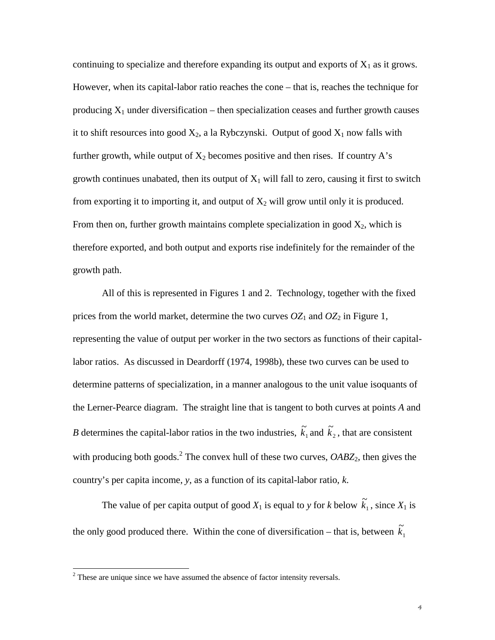continuing to specialize and therefore expanding its output and exports of  $X_1$  as it grows. However, when its capital-labor ratio reaches the cone – that is, reaches the technique for producing  $X_1$  under diversification – then specialization ceases and further growth causes it to shift resources into good  $X_2$ , a la Rybczynski. Output of good  $X_1$  now falls with further growth, while output of  $X_2$  becomes positive and then rises. If country A's growth continues unabated, then its output of  $X_1$  will fall to zero, causing it first to switch from exporting it to importing it, and output of  $X_2$  will grow until only it is produced. From then on, further growth maintains complete specialization in good  $X_2$ , which is therefore exported, and both output and exports rise indefinitely for the remainder of the growth path.

All of this is represented in Figures 1 and 2. Technology, together with the fixed prices from the world market, determine the two curves  $OZ_1$  and  $OZ_2$  in Figure 1, representing the value of output per worker in the two sectors as functions of their capitallabor ratios. As discussed in Deardorff (1974, 1998b), these two curves can be used to determine patterns of specialization, in a manner analogous to the unit value isoquants of the Lerner-Pearce diagram. The straight line that is tangent to both curves at points *A* and *B* determines the capital-labor ratios in the two industries,  $\tilde{k}_1$  and  $\tilde{k}_2$ , that are consistent with producing both goods.<sup>2</sup> The convex hull of these two curves, *OABZ*<sub>2</sub>, then gives the country's per capita income, *y*, as a function of its capital-labor ratio, *k*.

The value of per capita output of good  $X_1$  is equal to *y* for *k* below  $\tilde{k}_1$ , since  $X_1$  is the only good produced there. Within the cone of diversification – that is, between  $\tilde{k}_1$ 

 $\overline{a}$ 

 $2<sup>2</sup>$  These are unique since we have assumed the absence of factor intensity reversals.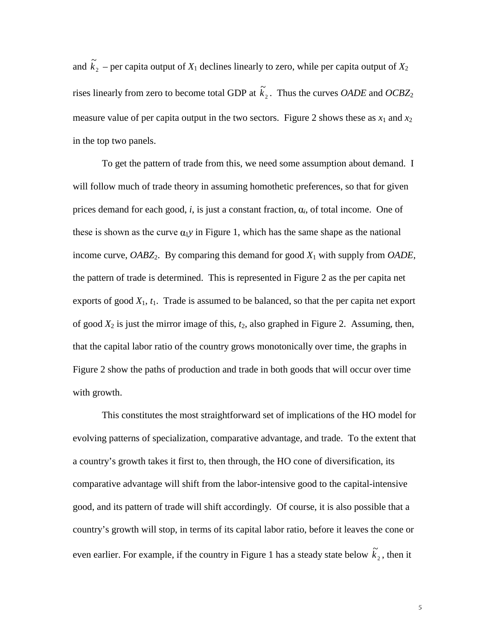and  $\tilde{k}_2$  – per capita output of  $X_1$  declines linearly to zero, while per capita output of  $X_2$ rises linearly from zero to become total GDP at  $\tilde{k}_2$ . Thus the curves *OADE* and *OCBZ*<sub>2</sub> measure value of per capita output in the two sectors. Figure 2 shows these as  $x_1$  and  $x_2$ in the top two panels.

To get the pattern of trade from this, we need some assumption about demand. I will follow much of trade theory in assuming homothetic preferences, so that for given prices demand for each good, *i*, is just a constant fraction,  $a_i$ , of total income. One of these is shown as the curve  $\alpha_1 y$  in Figure 1, which has the same shape as the national income curve, *OABZ*2. By comparing this demand for good *X*1 with supply from *OADE*, the pattern of trade is determined. This is represented in Figure 2 as the per capita net exports of good  $X_1$ ,  $t_1$ . Trade is assumed to be balanced, so that the per capita net export of good  $X_2$  is just the mirror image of this,  $t_2$ , also graphed in Figure 2. Assuming, then, that the capital labor ratio of the country grows monotonically over time, the graphs in Figure 2 show the paths of production and trade in both goods that will occur over time with growth.

This constitutes the most straightforward set of implications of the HO model for evolving patterns of specialization, comparative advantage, and trade. To the extent that a country's growth takes it first to, then through, the HO cone of diversification, its comparative advantage will shift from the labor-intensive good to the capital-intensive good, and its pattern of trade will shift accordingly. Of course, it is also possible that a country's growth will stop, in terms of its capital labor ratio, before it leaves the cone or even earlier. For example, if the country in Figure 1 has a steady state below  $\tilde{k}_2$ , then it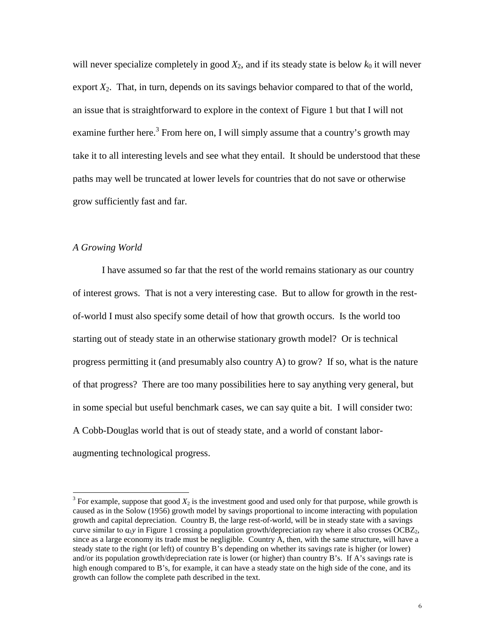will never specialize completely in good  $X_2$ , and if its steady state is below  $k_0$  it will never export  $X_2$ . That, in turn, depends on its savings behavior compared to that of the world, an issue that is straightforward to explore in the context of Figure 1 but that I will not examine further here.<sup>3</sup> From here on, I will simply assume that a country's growth may take it to all interesting levels and see what they entail. It should be understood that these paths may well be truncated at lower levels for countries that do not save or otherwise grow sufficiently fast and far.

#### *A Growing World*

 $\overline{a}$ 

I have assumed so far that the rest of the world remains stationary as our country of interest grows. That is not a very interesting case. But to allow for growth in the restof-world I must also specify some detail of how that growth occurs. Is the world too starting out of steady state in an otherwise stationary growth model? Or is technical progress permitting it (and presumably also country A) to grow? If so, what is the nature of that progress? There are too many possibilities here to say anything very general, but in some special but useful benchmark cases, we can say quite a bit. I will consider two: A Cobb-Douglas world that is out of steady state, and a world of constant laboraugmenting technological progress.

 $3$  For example, suppose that good  $X_2$  is the investment good and used only for that purpose, while growth is caused as in the Solow (1956) growth model by savings proportional to income interacting with population growth and capital depreciation. Country B, the large rest-of-world, will be in steady state with a savings curve similar to  $\alpha_1$ *y* in Figure 1 crossing a population growth/depreciation ray where it also crosses OCBZ<sub>2</sub>, since as a large economy its trade must be negligible. Country A, then, with the same structure, will have a steady state to the right (or left) of country B's depending on whether its savings rate is higher (or lower) and/or its population growth/depreciation rate is lower (or higher) than country B's. If A's savings rate is high enough compared to B's, for example, it can have a steady state on the high side of the cone, and its growth can follow the complete path described in the text.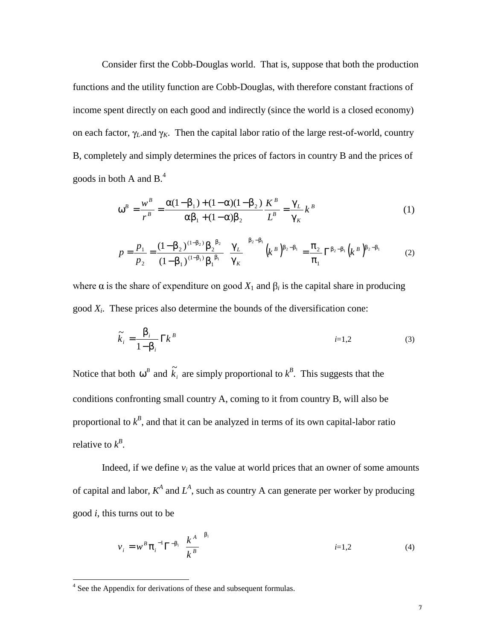Consider first the Cobb-Douglas world. That is, suppose that both the production functions and the utility function are Cobb-Douglas, with therefore constant fractions of income spent directly on each good and indirectly (since the world is a closed economy) on each factor,  $\gamma_L$  and  $\gamma_K$ . Then the capital labor ratio of the large rest-of-world, country B, completely and simply determines the prices of factors in country B and the prices of goods in both A and  $B^4$ .

$$
\omega^{B} = \frac{w^{B}}{r^{B}} = \frac{\alpha(1 - \beta_{1}) + (1 - \alpha)(1 - \beta_{2})}{\alpha\beta_{1} + (1 - \alpha)\beta_{2}} \frac{K^{B}}{L^{B}} = \frac{\gamma_{L}}{\gamma_{K}} k^{B}
$$
(1)

$$
p = \frac{p_1}{p_2} = \frac{(1 - \beta_2)^{(1 - \beta_2)} \beta_2^{\beta_2}}{(1 - \beta_1)^{(1 - \beta_1)} \beta_1^{\beta_1}} \left(\frac{\gamma_L}{\gamma_K}\right)^{\beta_2 - \beta_1} \left(k^B\right)^{\beta_2 - \beta_1} = \frac{\pi_2}{\pi_1} \Gamma^{\beta_2 - \beta_1} \left(k^B\right)^{\beta_2 - \beta_1} \tag{2}
$$

where  $\alpha$  is the share of expenditure on good  $X_1$  and  $\beta_i$  is the capital share in producing good *Xi*. These prices also determine the bounds of the diversification cone:

$$
\widetilde{k}_i = \frac{\beta_i}{1 - \beta_i} \Gamma k^B \qquad i=1,2 \tag{3}
$$

Notice that both  $\omega^B$  and  $\tilde{k}_i$  are simply proportional to  $k^B$ . This suggests that the conditions confronting small country A, coming to it from country B, will also be proportional to  $k^B$ , and that it can be analyzed in terms of its own capital-labor ratio relative to  $k^B$ .

Indeed, if we define  $v_i$  as the value at world prices that an owner of some amounts of capital and labor,  $K^A$  and  $L^A$ , such as country A can generate per worker by producing good *i*, this turns out to be

$$
v_i = w^B \pi_i^{-1} \Gamma^{-\beta_i} \left(\frac{k^A}{k^B}\right)^{\beta_i}
$$
 (4)

 4 See the Appendix for derivations of these and subsequent formulas.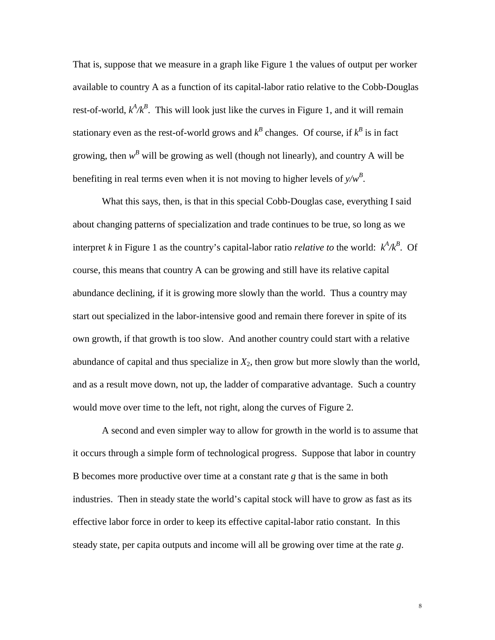That is, suppose that we measure in a graph like Figure 1 the values of output per worker available to country A as a function of its capital-labor ratio relative to the Cobb-Douglas rest-of-world,  $k^A/k^B$ . This will look just like the curves in Figure 1, and it will remain stationary even as the rest-of-world grows and  $k^B$  changes. Of course, if  $k^B$  is in fact growing, then  $w^B$  will be growing as well (though not linearly), and country A will be benefiting in real terms even when it is not moving to higher levels of *y/w<sup>B</sup>* .

What this says, then, is that in this special Cobb-Douglas case, everything I said about changing patterns of specialization and trade continues to be true, so long as we interpret *k* in Figure 1 as the country's capital-labor ratio *relative to* the world:  $k^A/k^B$ . Of course, this means that country A can be growing and still have its relative capital abundance declining, if it is growing more slowly than the world. Thus a country may start out specialized in the labor-intensive good and remain there forever in spite of its own growth, if that growth is too slow. And another country could start with a relative abundance of capital and thus specialize in  $X_2$ , then grow but more slowly than the world, and as a result move down, not up, the ladder of comparative advantage. Such a country would move over time to the left, not right, along the curves of Figure 2.

A second and even simpler way to allow for growth in the world is to assume that it occurs through a simple form of technological progress. Suppose that labor in country B becomes more productive over time at a constant rate *g* that is the same in both industries. Then in steady state the world's capital stock will have to grow as fast as its effective labor force in order to keep its effective capital-labor ratio constant. In this steady state, per capita outputs and income will all be growing over time at the rate *g*.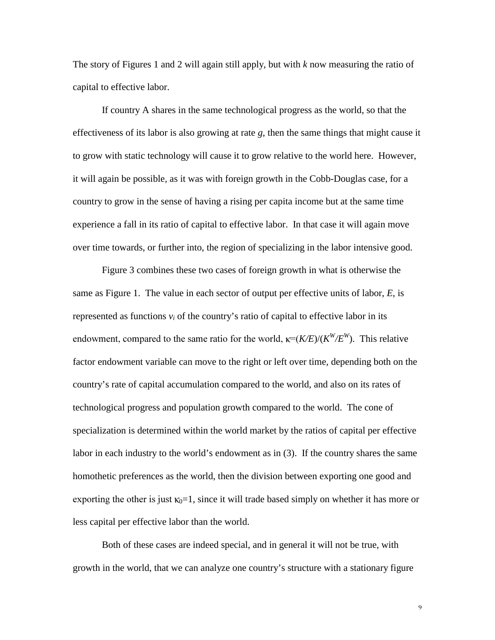The story of Figures 1 and 2 will again still apply, but with *k* now measuring the ratio of capital to effective labor.

If country A shares in the same technological progress as the world, so that the effectiveness of its labor is also growing at rate *g*, then the same things that might cause it to grow with static technology will cause it to grow relative to the world here. However, it will again be possible, as it was with foreign growth in the Cobb-Douglas case, for a country to grow in the sense of having a rising per capita income but at the same time experience a fall in its ratio of capital to effective labor. In that case it will again move over time towards, or further into, the region of specializing in the labor intensive good.

Figure 3 combines these two cases of foreign growth in what is otherwise the same as Figure 1. The value in each sector of output per effective units of labor, *E*, is represented as functions  $v_i$  of the country's ratio of capital to effective labor in its endowment, compared to the same ratio for the world,  $\kappa = (K/E)/(K^W/E^W)$ . This relative factor endowment variable can move to the right or left over time, depending both on the country's rate of capital accumulation compared to the world, and also on its rates of technological progress and population growth compared to the world. The cone of specialization is determined within the world market by the ratios of capital per effective labor in each industry to the world's endowment as in (3). If the country shares the same homothetic preferences as the world, then the division between exporting one good and exporting the other is just  $\kappa_0 = 1$ , since it will trade based simply on whether it has more or less capital per effective labor than the world.

Both of these cases are indeed special, and in general it will not be true, with growth in the world, that we can analyze one country's structure with a stationary figure

 $\mathbf 9$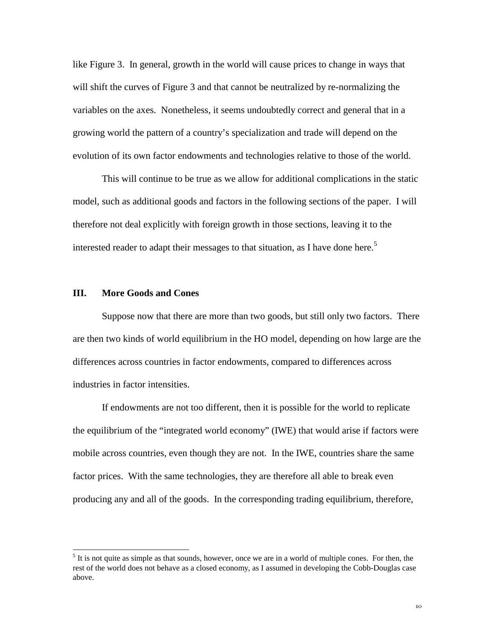like Figure 3. In general, growth in the world will cause prices to change in ways that will shift the curves of Figure 3 and that cannot be neutralized by re-normalizing the variables on the axes. Nonetheless, it seems undoubtedly correct and general that in a growing world the pattern of a country's specialization and trade will depend on the evolution of its own factor endowments and technologies relative to those of the world.

This will continue to be true as we allow for additional complications in the static model, such as additional goods and factors in the following sections of the paper. I will therefore not deal explicitly with foreign growth in those sections, leaving it to the interested reader to adapt their messages to that situation, as I have done here.<sup>5</sup>

### **III. More Goods and Cones**

 $\overline{a}$ 

Suppose now that there are more than two goods, but still only two factors. There are then two kinds of world equilibrium in the HO model, depending on how large are the differences across countries in factor endowments, compared to differences across industries in factor intensities.

If endowments are not too different, then it is possible for the world to replicate the equilibrium of the "integrated world economy" (IWE) that would arise if factors were mobile across countries, even though they are not. In the IWE, countries share the same factor prices. With the same technologies, they are therefore all able to break even producing any and all of the goods. In the corresponding trading equilibrium, therefore,

 $<sup>5</sup>$  It is not quite as simple as that sounds, however, once we are in a world of multiple cones. For then, the</sup> rest of the world does not behave as a closed economy, as I assumed in developing the Cobb-Douglas case above.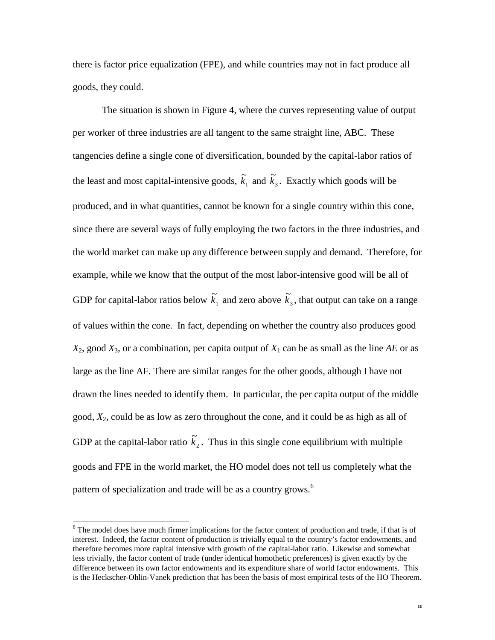there is factor price equalization (FPE), and while countries may not in fact produce all goods, they could.

The situation is shown in Figure 4, where the curves representing value of output per worker of three industries are all tangent to the same straight line, ABC. These tangencies define a single cone of diversification, bounded by the capital-labor ratios of the least and most capital-intensive goods,  $\tilde{k}_1$  and  $\tilde{k}_3$ . Exactly which goods will be produced, and in what quantities, cannot be known for a single country within this cone, since there are several ways of fully employing the two factors in the three industries, and the world market can make up any difference between supply and demand. Therefore, for example, while we know that the output of the most labor-intensive good will be all of GDP for capital-labor ratios below  $\tilde{k}_1$  and zero above  $\tilde{k}_3$ , that output can take on a range of values within the cone. In fact, depending on whether the country also produces good  $X_2$ , good  $X_3$ , or a combination, per capita output of  $X_1$  can be as small as the line *AE* or as large as the line AF. There are similar ranges for the other goods, although I have not drawn the lines needed to identify them. In particular, the per capita output of the middle good, *X*2, could be as low as zero throughout the cone, and it could be as high as all of GDP at the capital-labor ratio  $\tilde{k}_2$ . Thus in this single cone equilibrium with multiple goods and FPE in the world market, the HO model does not tell us completely what the pattern of specialization and trade will be as a country grows.<sup>6</sup>

 $\overline{a}$ 

<sup>&</sup>lt;sup>6</sup> The model does have much firmer implications for the factor content of production and trade, if that is of interest. Indeed, the factor content of production is trivially equal to the country's factor endowments, and therefore becomes more capital intensive with growth of the capital-labor ratio. Likewise and somewhat less trivially, the factor content of trade (under identical homothetic preferences) is given exactly by the difference between its own factor endowments and its expenditure share of world factor endowments. This is the Heckscher-Ohlin-Vanek prediction that has been the basis of most empirical tests of the HO Theorem.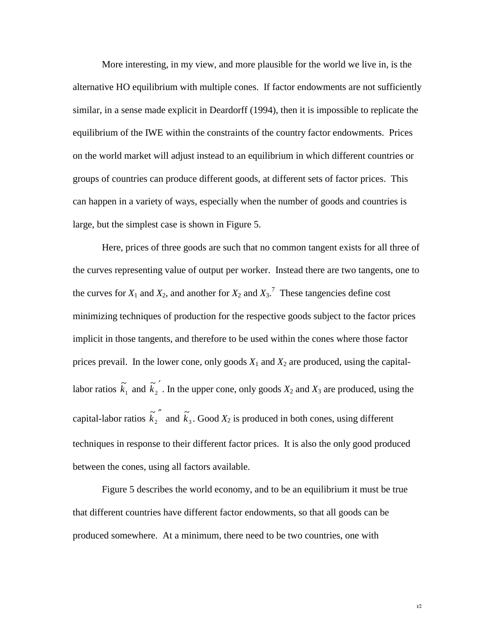More interesting, in my view, and more plausible for the world we live in, is the alternative HO equilibrium with multiple cones. If factor endowments are not sufficiently similar, in a sense made explicit in Deardorff (1994), then it is impossible to replicate the equilibrium of the IWE within the constraints of the country factor endowments. Prices on the world market will adjust instead to an equilibrium in which different countries or groups of countries can produce different goods, at different sets of factor prices. This can happen in a variety of ways, especially when the number of goods and countries is large, but the simplest case is shown in Figure 5.

Here, prices of three goods are such that no common tangent exists for all three of the curves representing value of output per worker. Instead there are two tangents, one to the curves for  $X_1$  and  $X_2$ , and another for  $X_2$  and  $X_3$ .<sup>7</sup> These tangencies define cost minimizing techniques of production for the respective goods subject to the factor prices implicit in those tangents, and therefore to be used within the cones where those factor prices prevail. In the lower cone, only goods  $X_1$  and  $X_2$  are produced, using the capitallabor ratios  $\tilde{k}_1$  and  $\tilde{k}_2$ <sup>'</sup>  $\tilde{k}_2$ . In the upper cone, only goods  $X_2$  and  $X_3$  are produced, using the capital-labor ratios  $\tilde{k_2}^{''}$  $\tilde{k}_2$ <sup>"</sup> and  $\tilde{k}_3$ . Good  $X_2$  is produced in both cones, using different techniques in response to their different factor prices. It is also the only good produced between the cones, using all factors available.

Figure 5 describes the world economy, and to be an equilibrium it must be true that different countries have different factor endowments, so that all goods can be produced somewhere. At a minimum, there need to be two countries, one with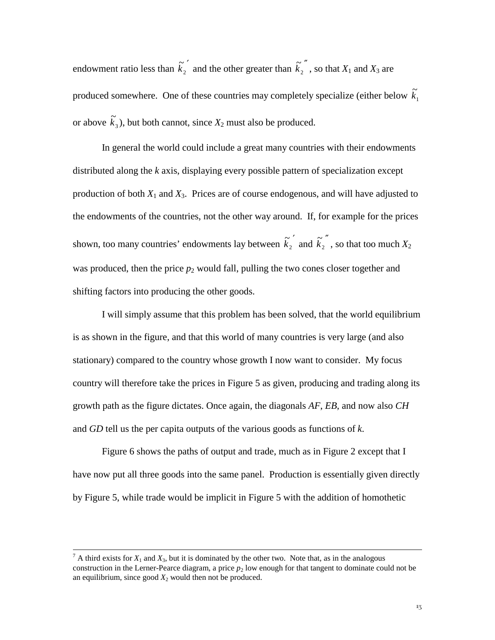endowment ratio less than  $\tilde{k_2}$  $\tilde{k_2}$  and the other greater than  $\tilde{k_2}$  $\tilde{k}_2$ <sup>"</sup>, so that  $X_1$  and  $X_3$  are produced somewhere. One of these countries may completely specialize (either below  $\tilde{k_1}$ or above  $\tilde{k}_3$ ), but both cannot, since  $X_2$  must also be produced.

In general the world could include a great many countries with their endowments distributed along the *k* axis, displaying every possible pattern of specialization except production of both  $X_1$  and  $X_3$ . Prices are of course endogenous, and will have adjusted to the endowments of the countries, not the other way around. If, for example for the prices shown, too many countries' endowments lay between  $\tilde{k_2}$  $\tilde{k}_2$ <sup>"</sup> and  $\tilde{k}_2$ <sup>"</sup>  $\tilde{k_2}$ <sup>"</sup>, so that too much  $X_2$ was produced, then the price  $p_2$  would fall, pulling the two cones closer together and shifting factors into producing the other goods.

I will simply assume that this problem has been solved, that the world equilibrium is as shown in the figure, and that this world of many countries is very large (and also stationary) compared to the country whose growth I now want to consider. My focus country will therefore take the prices in Figure 5 as given, producing and trading along its growth path as the figure dictates. Once again, the diagonals *AF*, *EB*, and now also *CH* and *GD* tell us the per capita outputs of the various goods as functions of *k*.

Figure 6 shows the paths of output and trade, much as in Figure 2 except that I have now put all three goods into the same panel. Production is essentially given directly by Figure 5, while trade would be implicit in Figure 5 with the addition of homothetic

<sup>&</sup>lt;sup>-</sup>  $^7$  A third exists for  $X_1$  and  $X_3$ , but it is dominated by the other two. Note that, as in the analogous construction in the Lerner-Pearce diagram, a price  $p_2$  low enough for that tangent to dominate could not be an equilibrium, since good  $X_2$  would then not be produced.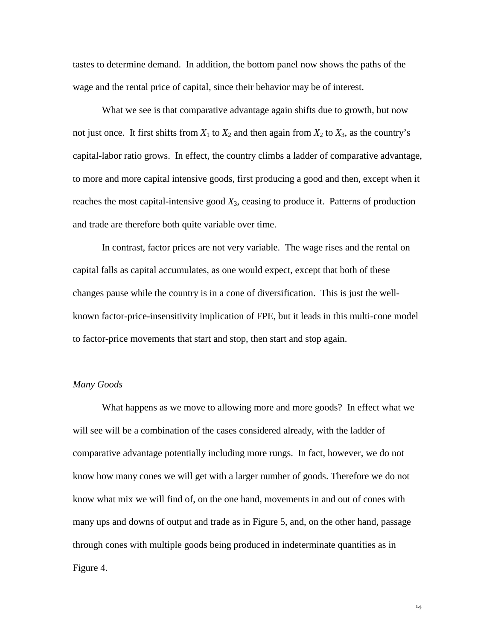tastes to determine demand. In addition, the bottom panel now shows the paths of the wage and the rental price of capital, since their behavior may be of interest.

What we see is that comparative advantage again shifts due to growth, but now not just once. It first shifts from  $X_1$  to  $X_2$  and then again from  $X_2$  to  $X_3$ , as the country's capital-labor ratio grows. In effect, the country climbs a ladder of comparative advantage, to more and more capital intensive goods, first producing a good and then, except when it reaches the most capital-intensive good *X*3, ceasing to produce it. Patterns of production and trade are therefore both quite variable over time.

In contrast, factor prices are not very variable. The wage rises and the rental on capital falls as capital accumulates, as one would expect, except that both of these changes pause while the country is in a cone of diversification. This is just the wellknown factor-price-insensitivity implication of FPE, but it leads in this multi-cone model to factor-price movements that start and stop, then start and stop again.

#### *Many Goods*

What happens as we move to allowing more and more goods? In effect what we will see will be a combination of the cases considered already, with the ladder of comparative advantage potentially including more rungs. In fact, however, we do not know how many cones we will get with a larger number of goods. Therefore we do not know what mix we will find of, on the one hand, movements in and out of cones with many ups and downs of output and trade as in Figure 5, and, on the other hand, passage through cones with multiple goods being produced in indeterminate quantities as in Figure 4.

 $\mathbb{I}4$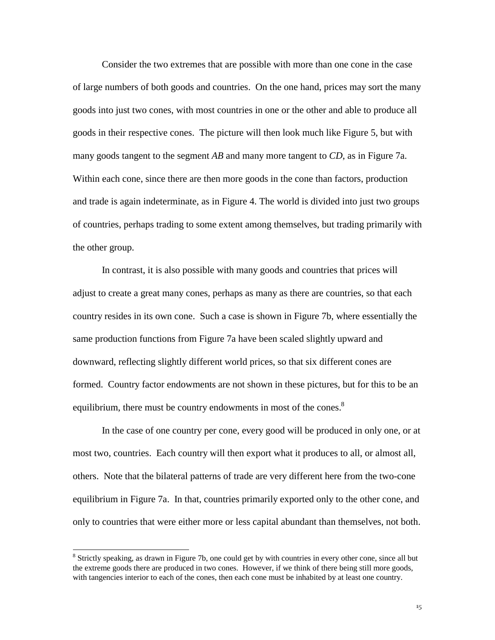Consider the two extremes that are possible with more than one cone in the case of large numbers of both goods and countries. On the one hand, prices may sort the many goods into just two cones, with most countries in one or the other and able to produce all goods in their respective cones. The picture will then look much like Figure 5, but with many goods tangent to the segment *AB* and many more tangent to *CD*, as in Figure 7a. Within each cone, since there are then more goods in the cone than factors, production and trade is again indeterminate, as in Figure 4. The world is divided into just two groups of countries, perhaps trading to some extent among themselves, but trading primarily with the other group.

In contrast, it is also possible with many goods and countries that prices will adjust to create a great many cones, perhaps as many as there are countries, so that each country resides in its own cone. Such a case is shown in Figure 7b, where essentially the same production functions from Figure 7a have been scaled slightly upward and downward, reflecting slightly different world prices, so that six different cones are formed. Country factor endowments are not shown in these pictures, but for this to be an equilibrium, there must be country endowments in most of the cones.<sup>8</sup>

In the case of one country per cone, every good will be produced in only one, or at most two, countries. Each country will then export what it produces to all, or almost all, others. Note that the bilateral patterns of trade are very different here from the two-cone equilibrium in Figure 7a. In that, countries primarily exported only to the other cone, and only to countries that were either more or less capital abundant than themselves, not both.

 $\overline{a}$ 

<sup>&</sup>lt;sup>8</sup> Strictly speaking, as drawn in Figure 7b, one could get by with countries in every other cone, since all but the extreme goods there are produced in two cones. However, if we think of there being still more goods, with tangencies interior to each of the cones, then each cone must be inhabited by at least one country.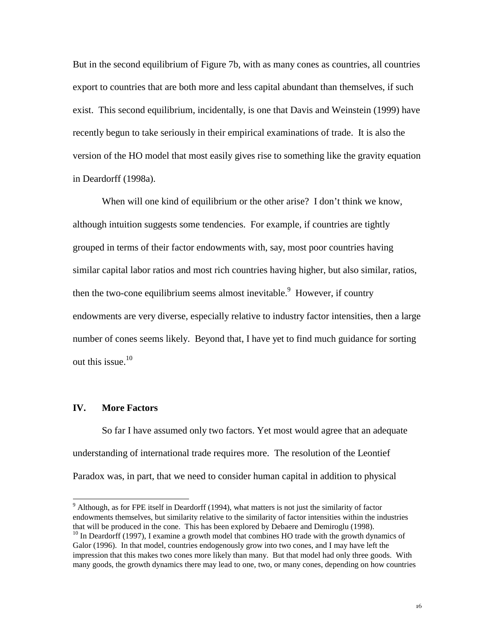But in the second equilibrium of Figure 7b, with as many cones as countries, all countries export to countries that are both more and less capital abundant than themselves, if such exist. This second equilibrium, incidentally, is one that Davis and Weinstein (1999) have recently begun to take seriously in their empirical examinations of trade. It is also the version of the HO model that most easily gives rise to something like the gravity equation in Deardorff (1998a).

When will one kind of equilibrium or the other arise? I don't think we know, although intuition suggests some tendencies. For example, if countries are tightly grouped in terms of their factor endowments with, say, most poor countries having similar capital labor ratios and most rich countries having higher, but also similar, ratios, then the two-cone equilibrium seems almost inevitable.  $9$  However, if country endowments are very diverse, especially relative to industry factor intensities, then a large number of cones seems likely. Beyond that, I have yet to find much guidance for sorting out this issue. $10$ 

#### **IV. More Factors**

 $\overline{a}$ 

So far I have assumed only two factors. Yet most would agree that an adequate understanding of international trade requires more. The resolution of the Leontief Paradox was, in part, that we need to consider human capital in addition to physical

 $9$  Although, as for FPE itself in Deardorff (1994), what matters is not just the similarity of factor endowments themselves, but similarity relative to the similarity of factor intensities within the industries that will be produced in the cone. This has been explored by Debaere and Demiroglu (1998).

 $10$  In Deardorff (1997), I examine a growth model that combines HO trade with the growth dynamics of Galor (1996). In that model, countries endogenously grow into two cones, and I may have left the impression that this makes two cones more likely than many. But that model had only three goods. With many goods, the growth dynamics there may lead to one, two, or many cones, depending on how countries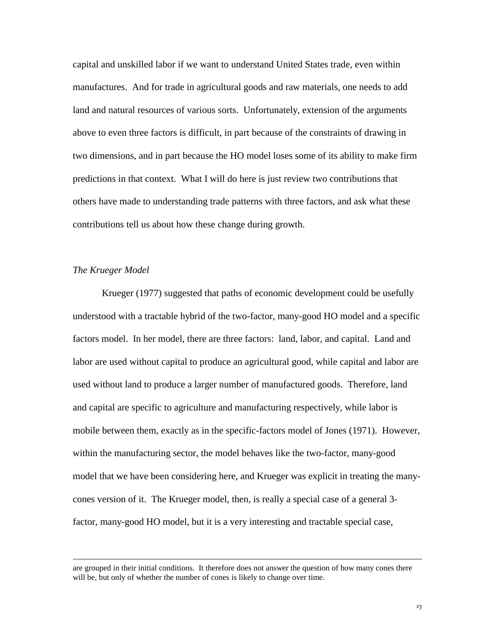capital and unskilled labor if we want to understand United States trade, even within manufactures. And for trade in agricultural goods and raw materials, one needs to add land and natural resources of various sorts. Unfortunately, extension of the arguments above to even three factors is difficult, in part because of the constraints of drawing in two dimensions, and in part because the HO model loses some of its ability to make firm predictions in that context. What I will do here is just review two contributions that others have made to understanding trade patterns with three factors, and ask what these contributions tell us about how these change during growth.

#### *The Krueger Model*

 $\overline{a}$ 

Krueger (1977) suggested that paths of economic development could be usefully understood with a tractable hybrid of the two-factor, many-good HO model and a specific factors model. In her model, there are three factors: land, labor, and capital. Land and labor are used without capital to produce an agricultural good, while capital and labor are used without land to produce a larger number of manufactured goods. Therefore, land and capital are specific to agriculture and manufacturing respectively, while labor is mobile between them, exactly as in the specific-factors model of Jones (1971). However, within the manufacturing sector, the model behaves like the two-factor, many-good model that we have been considering here, and Krueger was explicit in treating the manycones version of it. The Krueger model, then, is really a special case of a general 3 factor, many-good HO model, but it is a very interesting and tractable special case,

are grouped in their initial conditions. It therefore does not answer the question of how many cones there will be, but only of whether the number of cones is likely to change over time.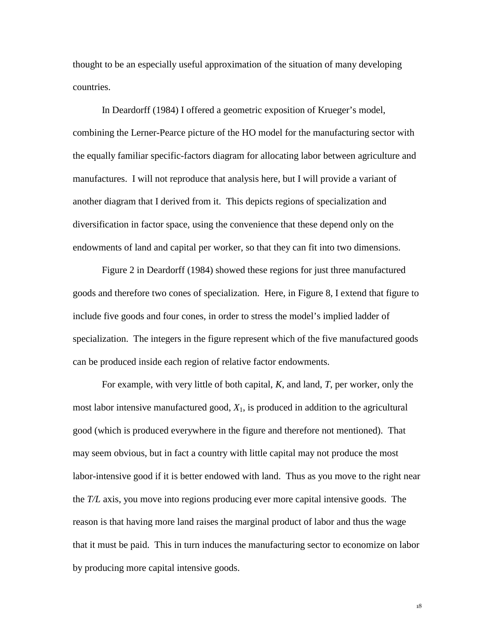thought to be an especially useful approximation of the situation of many developing countries.

In Deardorff (1984) I offered a geometric exposition of Krueger's model, combining the Lerner-Pearce picture of the HO model for the manufacturing sector with the equally familiar specific-factors diagram for allocating labor between agriculture and manufactures. I will not reproduce that analysis here, but I will provide a variant of another diagram that I derived from it. This depicts regions of specialization and diversification in factor space, using the convenience that these depend only on the endowments of land and capital per worker, so that they can fit into two dimensions.

Figure 2 in Deardorff (1984) showed these regions for just three manufactured goods and therefore two cones of specialization. Here, in Figure 8, I extend that figure to include five goods and four cones, in order to stress the model's implied ladder of specialization. The integers in the figure represent which of the five manufactured goods can be produced inside each region of relative factor endowments.

For example, with very little of both capital, *K*, and land, *T*, per worker, only the most labor intensive manufactured good, *X*1, is produced in addition to the agricultural good (which is produced everywhere in the figure and therefore not mentioned). That may seem obvious, but in fact a country with little capital may not produce the most labor-intensive good if it is better endowed with land. Thus as you move to the right near the *T/L* axis, you move into regions producing ever more capital intensive goods. The reason is that having more land raises the marginal product of labor and thus the wage that it must be paid. This in turn induces the manufacturing sector to economize on labor by producing more capital intensive goods.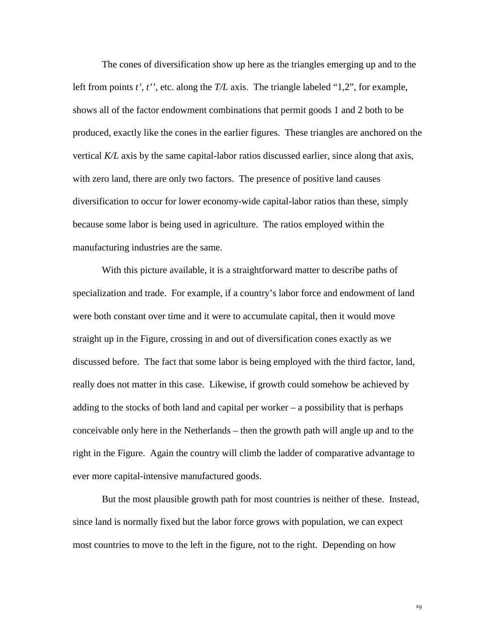The cones of diversification show up here as the triangles emerging up and to the left from points *t'*, *t''*, etc. along the *T/L* axis. The triangle labeled "1,2", for example, shows all of the factor endowment combinations that permit goods 1 and 2 both to be produced, exactly like the cones in the earlier figures. These triangles are anchored on the vertical *K/L* axis by the same capital-labor ratios discussed earlier, since along that axis, with zero land, there are only two factors. The presence of positive land causes diversification to occur for lower economy-wide capital-labor ratios than these, simply because some labor is being used in agriculture. The ratios employed within the manufacturing industries are the same.

With this picture available, it is a straightforward matter to describe paths of specialization and trade. For example, if a country's labor force and endowment of land were both constant over time and it were to accumulate capital, then it would move straight up in the Figure, crossing in and out of diversification cones exactly as we discussed before. The fact that some labor is being employed with the third factor, land, really does not matter in this case. Likewise, if growth could somehow be achieved by adding to the stocks of both land and capital per worker – a possibility that is perhaps conceivable only here in the Netherlands – then the growth path will angle up and to the right in the Figure. Again the country will climb the ladder of comparative advantage to ever more capital-intensive manufactured goods.

But the most plausible growth path for most countries is neither of these. Instead, since land is normally fixed but the labor force grows with population, we can expect most countries to move to the left in the figure, not to the right. Depending on how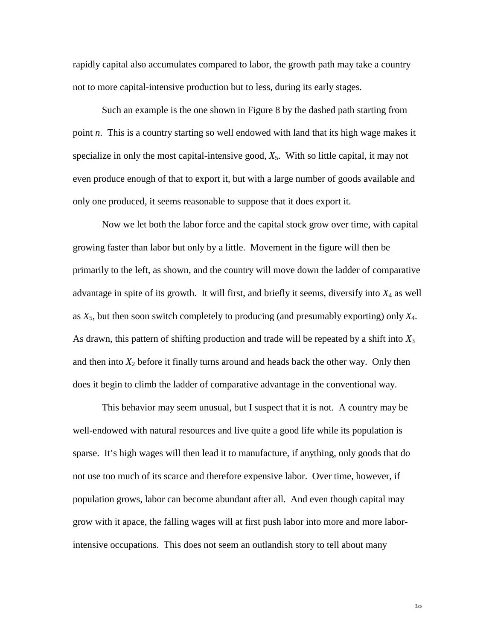rapidly capital also accumulates compared to labor, the growth path may take a country not to more capital-intensive production but to less, during its early stages.

Such an example is the one shown in Figure 8 by the dashed path starting from point *n*. This is a country starting so well endowed with land that its high wage makes it specialize in only the most capital-intensive good,  $X_5$ . With so little capital, it may not even produce enough of that to export it, but with a large number of goods available and only one produced, it seems reasonable to suppose that it does export it.

Now we let both the labor force and the capital stock grow over time, with capital growing faster than labor but only by a little. Movement in the figure will then be primarily to the left, as shown, and the country will move down the ladder of comparative advantage in spite of its growth. It will first, and briefly it seems, diversify into *X*4 as well as  $X_5$ , but then soon switch completely to producing (and presumably exporting) only  $X_4$ . As drawn, this pattern of shifting production and trade will be repeated by a shift into *X*<sup>3</sup> and then into  $X_2$  before it finally turns around and heads back the other way. Only then does it begin to climb the ladder of comparative advantage in the conventional way.

This behavior may seem unusual, but I suspect that it is not. A country may be well-endowed with natural resources and live quite a good life while its population is sparse. It's high wages will then lead it to manufacture, if anything, only goods that do not use too much of its scarce and therefore expensive labor. Over time, however, if population grows, labor can become abundant after all. And even though capital may grow with it apace, the falling wages will at first push labor into more and more laborintensive occupations. This does not seem an outlandish story to tell about many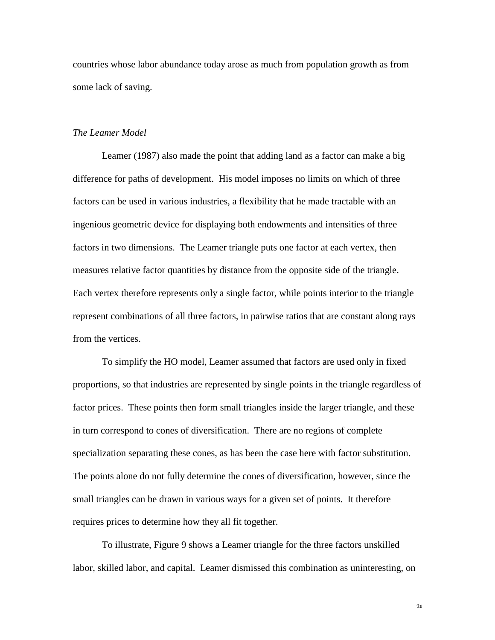countries whose labor abundance today arose as much from population growth as from some lack of saving.

#### *The Leamer Model*

Leamer (1987) also made the point that adding land as a factor can make a big difference for paths of development. His model imposes no limits on which of three factors can be used in various industries, a flexibility that he made tractable with an ingenious geometric device for displaying both endowments and intensities of three factors in two dimensions. The Leamer triangle puts one factor at each vertex, then measures relative factor quantities by distance from the opposite side of the triangle. Each vertex therefore represents only a single factor, while points interior to the triangle represent combinations of all three factors, in pairwise ratios that are constant along rays from the vertices.

To simplify the HO model, Leamer assumed that factors are used only in fixed proportions, so that industries are represented by single points in the triangle regardless of factor prices. These points then form small triangles inside the larger triangle, and these in turn correspond to cones of diversification. There are no regions of complete specialization separating these cones, as has been the case here with factor substitution. The points alone do not fully determine the cones of diversification, however, since the small triangles can be drawn in various ways for a given set of points. It therefore requires prices to determine how they all fit together.

To illustrate, Figure 9 shows a Leamer triangle for the three factors unskilled labor, skilled labor, and capital. Leamer dismissed this combination as uninteresting, on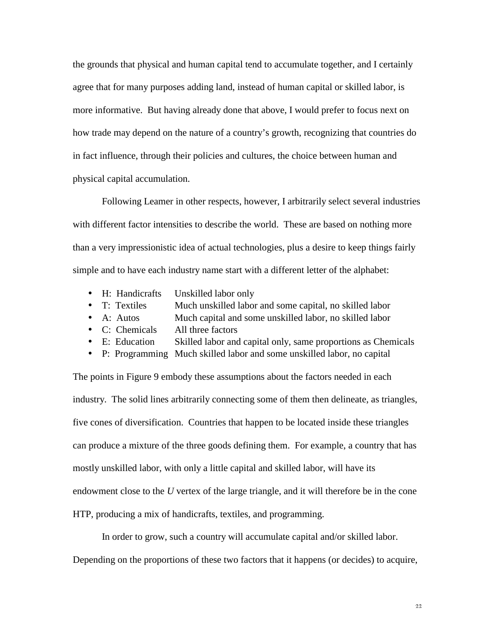the grounds that physical and human capital tend to accumulate together, and I certainly agree that for many purposes adding land, instead of human capital or skilled labor, is more informative. But having already done that above, I would prefer to focus next on how trade may depend on the nature of a country's growth, recognizing that countries do in fact influence, through their policies and cultures, the choice between human and physical capital accumulation.

Following Leamer in other respects, however, I arbitrarily select several industries with different factor intensities to describe the world. These are based on nothing more than a very impressionistic idea of actual technologies, plus a desire to keep things fairly simple and to have each industry name start with a different letter of the alphabet:

- H: Handicrafts Unskilled labor only
- T: Textiles Much unskilled labor and some capital, no skilled labor
- A: Autos Much capital and some unskilled labor, no skilled labor
- C: Chemicals All three factors
- E: Education Skilled labor and capital only, same proportions as Chemicals
- P: Programming Much skilled labor and some unskilled labor, no capital

The points in Figure 9 embody these assumptions about the factors needed in each industry. The solid lines arbitrarily connecting some of them then delineate, as triangles, five cones of diversification. Countries that happen to be located inside these triangles can produce a mixture of the three goods defining them. For example, a country that has mostly unskilled labor, with only a little capital and skilled labor, will have its endowment close to the *U* vertex of the large triangle, and it will therefore be in the cone HTP, producing a mix of handicrafts, textiles, and programming.

In order to grow, such a country will accumulate capital and/or skilled labor. Depending on the proportions of these two factors that it happens (or decides) to acquire,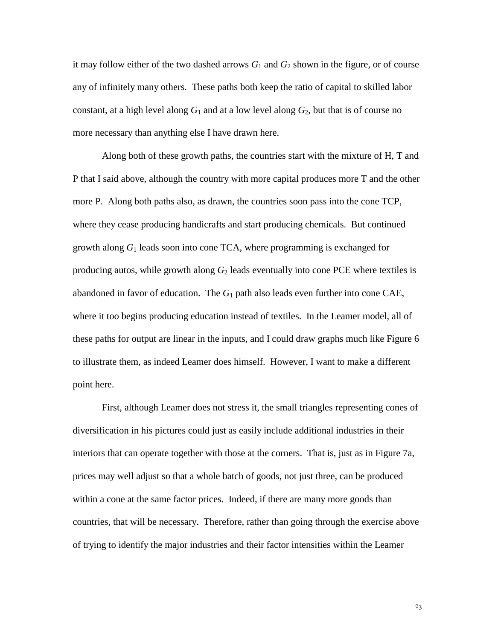it may follow either of the two dashed arrows  $G_1$  and  $G_2$  shown in the figure, or of course any of infinitely many others. These paths both keep the ratio of capital to skilled labor constant, at a high level along  $G_1$  and at a low level along  $G_2$ , but that is of course no more necessary than anything else I have drawn here.

Along both of these growth paths, the countries start with the mixture of H, T and P that I said above, although the country with more capital produces more T and the other more P. Along both paths also, as drawn, the countries soon pass into the cone TCP, where they cease producing handicrafts and start producing chemicals. But continued growth along *G*1 leads soon into cone TCA, where programming is exchanged for producing autos, while growth along  $G_2$  leads eventually into cone PCE where textiles is abandoned in favor of education. The  $G_1$  path also leads even further into cone CAE, where it too begins producing education instead of textiles. In the Leamer model, all of these paths for output are linear in the inputs, and I could draw graphs much like Figure 6 to illustrate them, as indeed Leamer does himself. However, I want to make a different point here.

First, although Leamer does not stress it, the small triangles representing cones of diversification in his pictures could just as easily include additional industries in their interiors that can operate together with those at the corners. That is, just as in Figure 7a, prices may well adjust so that a whole batch of goods, not just three, can be produced within a cone at the same factor prices. Indeed, if there are many more goods than countries, that will be necessary. Therefore, rather than going through the exercise above of trying to identify the major industries and their factor intensities within the Leamer

 $2\overline{3}$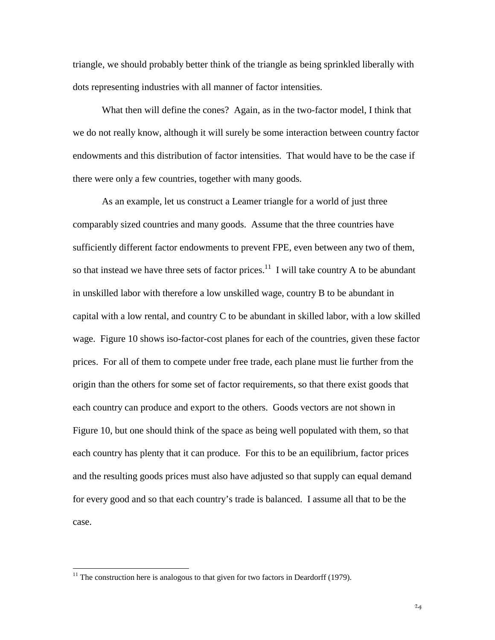triangle, we should probably better think of the triangle as being sprinkled liberally with dots representing industries with all manner of factor intensities.

What then will define the cones? Again, as in the two-factor model, I think that we do not really know, although it will surely be some interaction between country factor endowments and this distribution of factor intensities. That would have to be the case if there were only a few countries, together with many goods.

As an example, let us construct a Leamer triangle for a world of just three comparably sized countries and many goods. Assume that the three countries have sufficiently different factor endowments to prevent FPE, even between any two of them, so that instead we have three sets of factor prices.<sup>11</sup> I will take country A to be abundant in unskilled labor with therefore a low unskilled wage, country B to be abundant in capital with a low rental, and country C to be abundant in skilled labor, with a low skilled wage. Figure 10 shows iso-factor-cost planes for each of the countries, given these factor prices. For all of them to compete under free trade, each plane must lie further from the origin than the others for some set of factor requirements, so that there exist goods that each country can produce and export to the others. Goods vectors are not shown in Figure 10, but one should think of the space as being well populated with them, so that each country has plenty that it can produce. For this to be an equilibrium, factor prices and the resulting goods prices must also have adjusted so that supply can equal demand for every good and so that each country's trade is balanced. I assume all that to be the case.

 $\overline{a}$ 

 $11$  The construction here is analogous to that given for two factors in Deardorff (1979).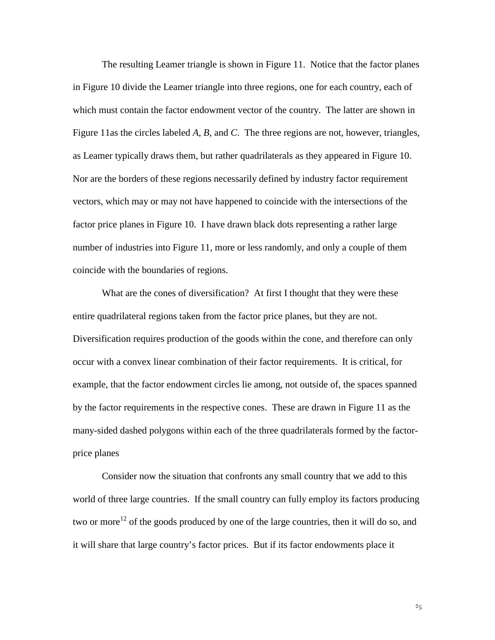The resulting Leamer triangle is shown in Figure 11. Notice that the factor planes in Figure 10 divide the Leamer triangle into three regions, one for each country, each of which must contain the factor endowment vector of the country. The latter are shown in Figure 11as the circles labeled *A*, *B*, and *C*. The three regions are not, however, triangles, as Leamer typically draws them, but rather quadrilaterals as they appeared in Figure 10. Nor are the borders of these regions necessarily defined by industry factor requirement vectors, which may or may not have happened to coincide with the intersections of the factor price planes in Figure 10. I have drawn black dots representing a rather large number of industries into Figure 11, more or less randomly, and only a couple of them coincide with the boundaries of regions.

What are the cones of diversification? At first I thought that they were these entire quadrilateral regions taken from the factor price planes, but they are not. Diversification requires production of the goods within the cone, and therefore can only occur with a convex linear combination of their factor requirements. It is critical, for example, that the factor endowment circles lie among, not outside of, the spaces spanned by the factor requirements in the respective cones. These are drawn in Figure 11 as the many-sided dashed polygons within each of the three quadrilaterals formed by the factorprice planes

Consider now the situation that confronts any small country that we add to this world of three large countries. If the small country can fully employ its factors producing two or more<sup>12</sup> of the goods produced by one of the large countries, then it will do so, and it will share that large country's factor prices. But if its factor endowments place it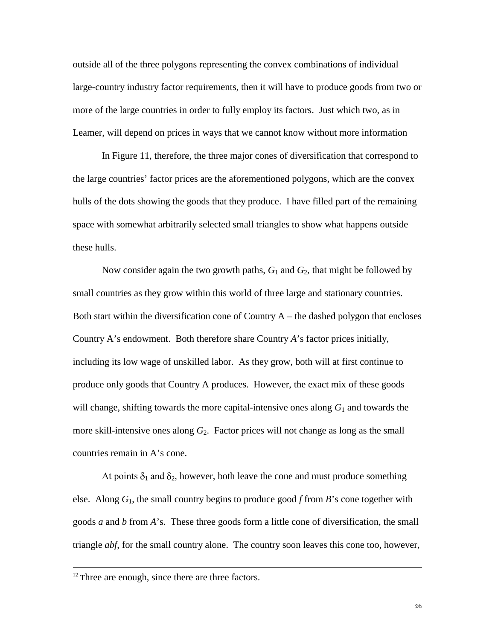outside all of the three polygons representing the convex combinations of individual large-country industry factor requirements, then it will have to produce goods from two or more of the large countries in order to fully employ its factors. Just which two, as in Leamer, will depend on prices in ways that we cannot know without more information

In Figure 11, therefore, the three major cones of diversification that correspond to the large countries' factor prices are the aforementioned polygons, which are the convex hulls of the dots showing the goods that they produce. I have filled part of the remaining space with somewhat arbitrarily selected small triangles to show what happens outside these hulls.

Now consider again the two growth paths, *G*1 and *G*2, that might be followed by small countries as they grow within this world of three large and stationary countries. Both start within the diversification cone of Country  $A$  – the dashed polygon that encloses Country A's endowment. Both therefore share Country *A*'s factor prices initially, including its low wage of unskilled labor. As they grow, both will at first continue to produce only goods that Country A produces. However, the exact mix of these goods will change, shifting towards the more capital-intensive ones along  $G_1$  and towards the more skill-intensive ones along  $G_2$ . Factor prices will not change as long as the small countries remain in A's cone.

At points  $\delta_1$  and  $\delta_2$ , however, both leave the cone and must produce something else. Along *G*1, the small country begins to produce good *f* from *B*'s cone together with goods *a* and *b* from *A*'s. These three goods form a little cone of diversification, the small triangle *abf*, for the small country alone. The country soon leaves this cone too, however,

<sup>&</sup>lt;sup>12</sup> Three are enough, since there are three factors.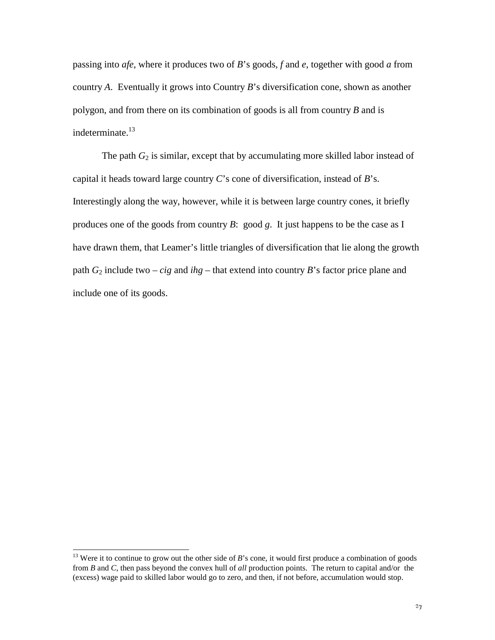passing into *afe*, where it produces two of *B*'s goods, *f* and *e*, together with good *a* from country *A*. Eventually it grows into Country *B*'s diversification cone, shown as another polygon, and from there on its combination of goods is all from country *B* and is indeterminate.<sup>13</sup>

The path  $G_2$  is similar, except that by accumulating more skilled labor instead of capital it heads toward large country *C*'s cone of diversification, instead of *B*'s. Interestingly along the way, however, while it is between large country cones, it briefly produces one of the goods from country *B*: good *g*. It just happens to be the case as I have drawn them, that Leamer's little triangles of diversification that lie along the growth path *G*2 include two – *cig* and *ihg* – that extend into country *B*'s factor price plane and include one of its goods.

 $\overline{a}$ 

<sup>&</sup>lt;sup>13</sup> Were it to continue to grow out the other side of *B*'s cone, it would first produce a combination of goods from *B* and *C*, then pass beyond the convex hull of *all* production points. The return to capital and/or the (excess) wage paid to skilled labor would go to zero, and then, if not before, accumulation would stop.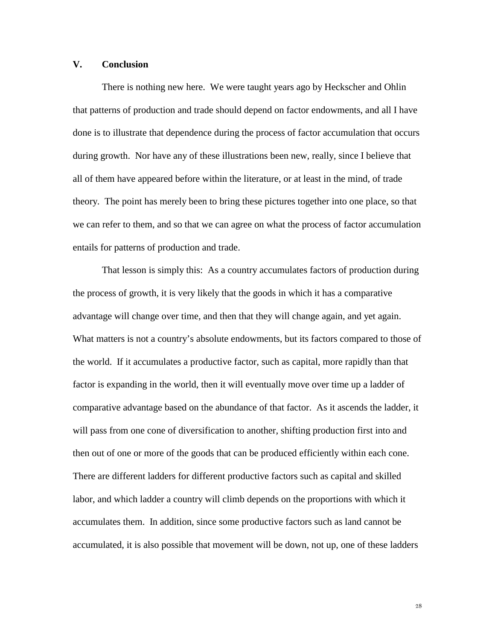#### **V. Conclusion**

There is nothing new here. We were taught years ago by Heckscher and Ohlin that patterns of production and trade should depend on factor endowments, and all I have done is to illustrate that dependence during the process of factor accumulation that occurs during growth. Nor have any of these illustrations been new, really, since I believe that all of them have appeared before within the literature, or at least in the mind, of trade theory. The point has merely been to bring these pictures together into one place, so that we can refer to them, and so that we can agree on what the process of factor accumulation entails for patterns of production and trade.

That lesson is simply this: As a country accumulates factors of production during the process of growth, it is very likely that the goods in which it has a comparative advantage will change over time, and then that they will change again, and yet again. What matters is not a country's absolute endowments, but its factors compared to those of the world. If it accumulates a productive factor, such as capital, more rapidly than that factor is expanding in the world, then it will eventually move over time up a ladder of comparative advantage based on the abundance of that factor. As it ascends the ladder, it will pass from one cone of diversification to another, shifting production first into and then out of one or more of the goods that can be produced efficiently within each cone. There are different ladders for different productive factors such as capital and skilled labor, and which ladder a country will climb depends on the proportions with which it accumulates them. In addition, since some productive factors such as land cannot be accumulated, it is also possible that movement will be down, not up, one of these ladders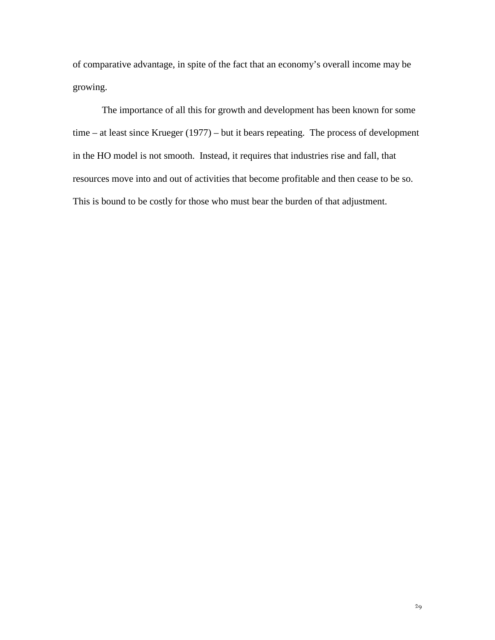of comparative advantage, in spite of the fact that an economy's overall income may be growing.

The importance of all this for growth and development has been known for some time – at least since Krueger (1977) – but it bears repeating. The process of development in the HO model is not smooth. Instead, it requires that industries rise and fall, that resources move into and out of activities that become profitable and then cease to be so. This is bound to be costly for those who must bear the burden of that adjustment.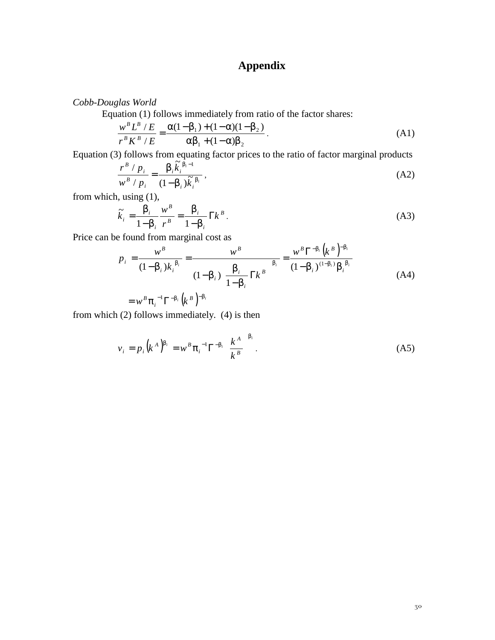# **Appendix**

*Cobb-Douglas World*

Equation (1) follows immediately from ratio of the factor shares:

$$
\frac{w^{B} L^{B} / E}{r^{B} K^{B} / E} = \frac{\alpha (1 - \beta_{1}) + (1 - \alpha)(1 - \beta_{2})}{\alpha \beta_{1} + (1 - \alpha)\beta_{2}}.
$$
\n(A1)

Equation (3) follows from equating factor prices to the ratio of factor marginal products

$$
\frac{r^B / p_i}{w^B / p_i} = \frac{\beta_i \tilde{k}_i^{B_i - 1}}{(1 - \beta_i) \tilde{k}_i^{B_i}},
$$
\n(A2)

from which, using (1),

$$
\widetilde{k}_i = \frac{\beta_i}{1 - \beta_i} \frac{w^B}{r^B} = \frac{\beta_i}{1 - \beta_i} \Gamma k^B.
$$
\n(A3)

Price can be found from marginal cost as

$$
p_{i} = \frac{w^{B}}{(1-\beta_{i})k_{i}^{\beta_{i}}} = \frac{w^{B}}{(1-\beta_{i})\left(\frac{\beta_{i}}{1-\beta_{i}}\right)^{\beta_{i}}} = \frac{w^{B}\Gamma^{-\beta_{i}}(k^{B})^{-\beta_{i}}}{(1-\beta_{i})^{(1-\beta_{i})}\beta_{i}^{\beta_{i}}}
$$
  
=  $w^{B}\pi_{i}^{-1}\Gamma^{-\beta_{i}}(k^{B})^{-\beta_{i}}$  (A4)

from which (2) follows immediately. (4) is then

$$
v_{i} = p_{i} (k^{A})^{\beta_{i}} = w^{B} \pi_{i}^{-1} \Gamma^{-\beta_{i}} \left(\frac{k^{A}}{k^{B}}\right)^{\beta_{i}}.
$$
 (A5)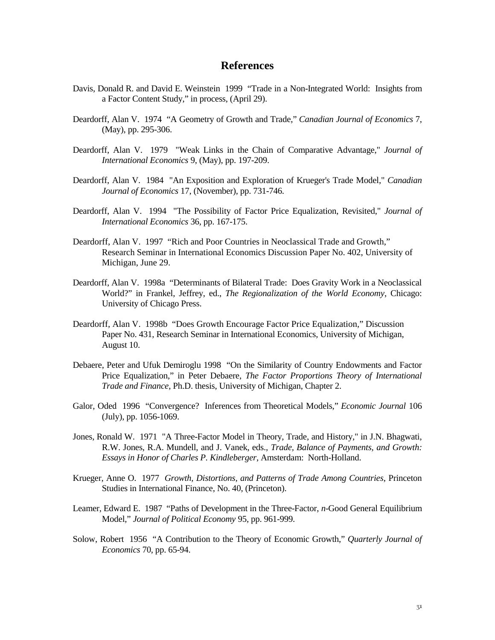#### **References**

- Davis, Donald R. and David E. Weinstein 1999 "Trade in a Non-Integrated World: Insights from a Factor Content Study," in process, (April 29).
- Deardorff, Alan V. 1974 "A Geometry of Growth and Trade," *Canadian Journal of Economics* 7, (May), pp. 295-306.
- Deardorff, Alan V. 1979 "Weak Links in the Chain of Comparative Advantage," *Journal of International Economics* 9, (May), pp. 197-209.
- Deardorff, Alan V. 1984 "An Exposition and Exploration of Krueger's Trade Model," *Canadian Journal of Economics* 17, (November), pp. 731-746.
- Deardorff, Alan V. 1994 "The Possibility of Factor Price Equalization, Revisited," *Journal of International Economics* 36, pp. 167-175.
- Deardorff, Alan V. 1997 "Rich and Poor Countries in Neoclassical Trade and Growth," Research Seminar in International Economics Discussion Paper No. 402, University of Michigan, June 29.
- Deardorff, Alan V. 1998a "Determinants of Bilateral Trade: Does Gravity Work in a Neoclassical World?" in Frankel, Jeffrey, ed., *The Regionalization of the World Economy*, Chicago: University of Chicago Press.
- Deardorff, Alan V. 1998b "Does Growth Encourage Factor Price Equalization," Discussion Paper No. 431, Research Seminar in International Economics, University of Michigan, August 10.
- Debaere, Peter and Ufuk Demiroglu 1998 "On the Similarity of Country Endowments and Factor Price Equalization," in Peter Debaere, *The Factor Proportions Theory of International Trade and Finance*, Ph.D. thesis, University of Michigan, Chapter 2.
- Galor, Oded 1996 "Convergence? Inferences from Theoretical Models," *Economic Journal* 106 (July), pp. 1056-1069.
- Jones, Ronald W. 1971 "A Three-Factor Model in Theory, Trade, and History," in J.N. Bhagwati, R.W. Jones, R.A. Mundell, and J. Vanek, eds., *Trade, Balance of Payments, and Growth: Essays in Honor of Charles P. Kindleberger*, Amsterdam: North-Holland.
- Krueger, Anne O. 1977 *Growth, Distortions, and Patterns of Trade Among Countries*, Princeton Studies in International Finance, No. 40, (Princeton).
- Leamer, Edward E. 1987 "Paths of Development in the Three-Factor, *n*-Good General Equilibrium Model," *Journal of Political Economy* 95, pp. 961-999.
- Solow, Robert 1956 "A Contribution to the Theory of Economic Growth," *Quarterly Journal of Economics* 70, pp. 65-94.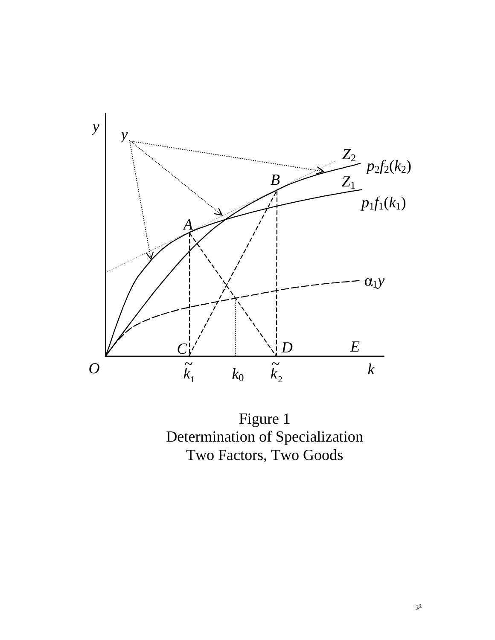

Figure 1 Determination of Specialization Two Factors, Two Goods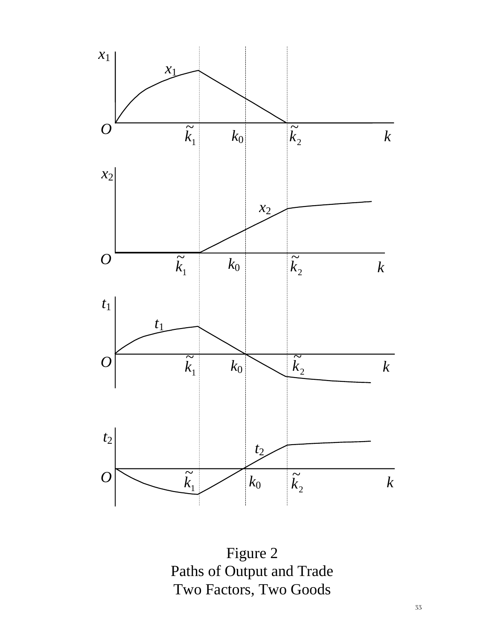

Figure 2 Paths of Output and Trade Two Factors, Two Goods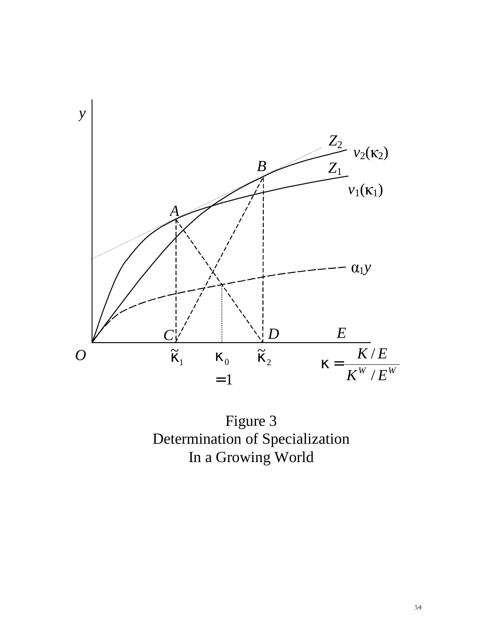

Figure 3 Determination of Specialization In a Growing World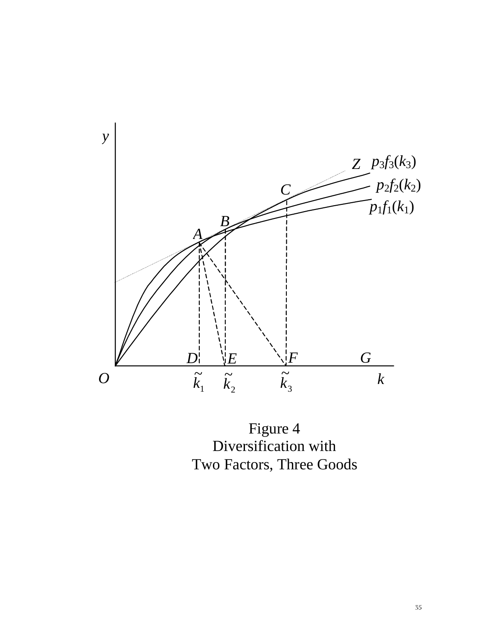

Figure 4 Diversification with Two Factors, Three Goods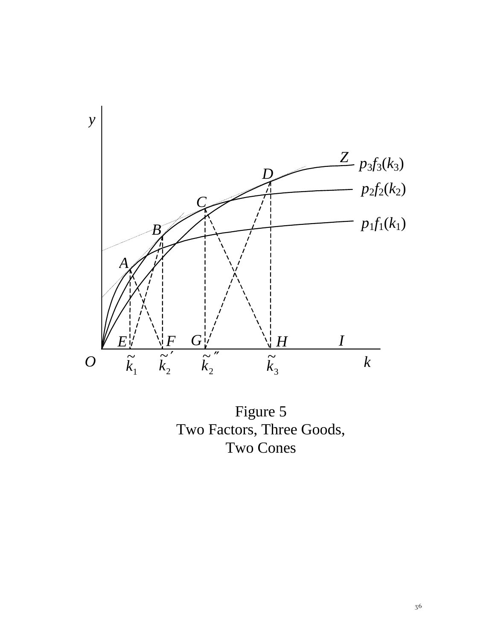

Figure 5 Two Factors, Three Goods, Two Cones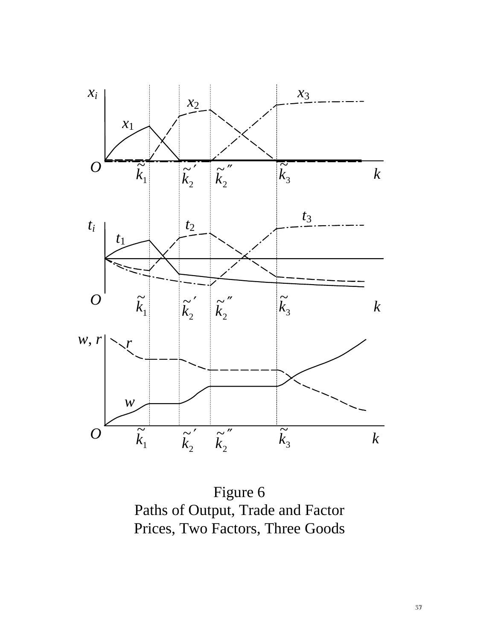

Figure 6 Paths of Output, Trade and Factor Prices, Two Factors, Three Goods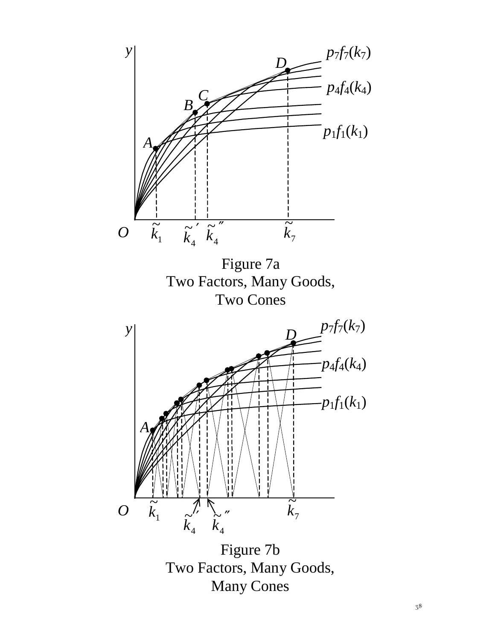

Two Factors, Many Goods, Many Cones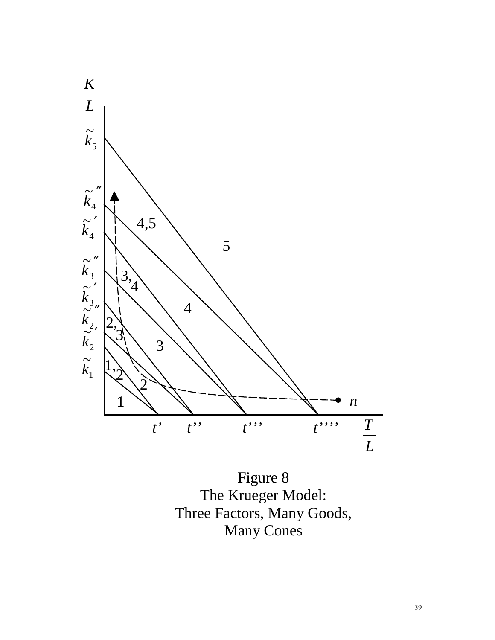

Figure 8 The Krueger Model: Three Factors, Many Goods, Many Cones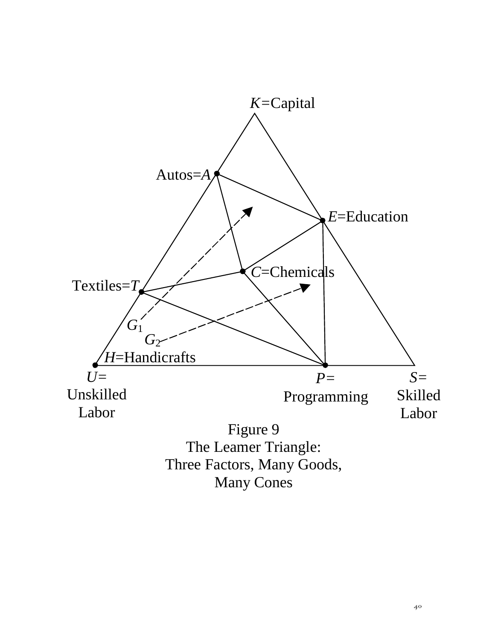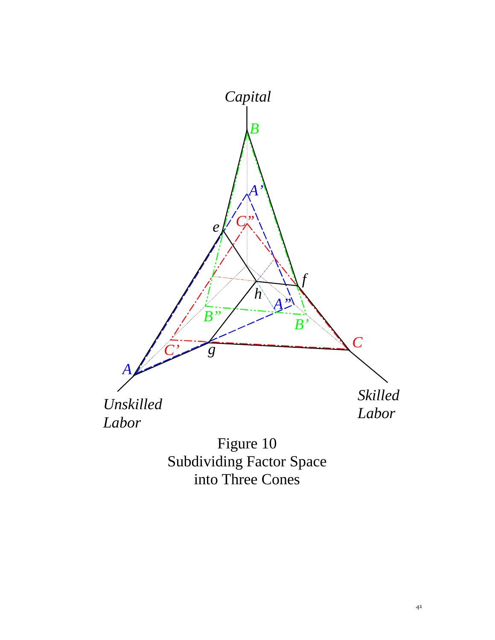

Figure 10 Subdividing Factor Space into Three Cones